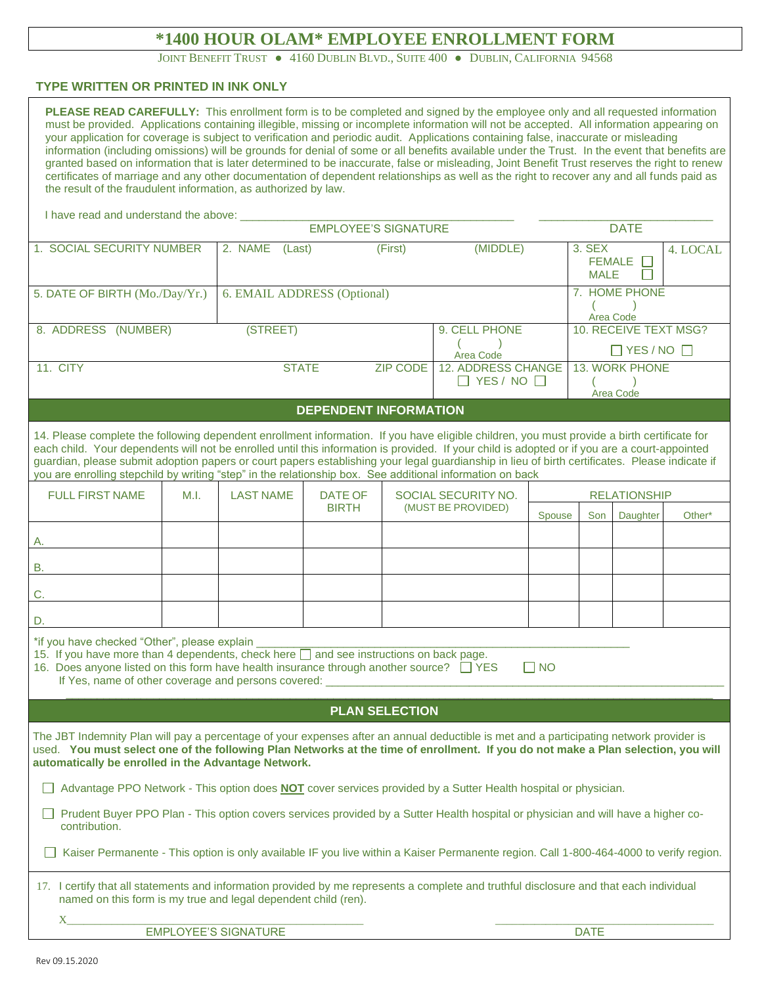# **\*1400 HOUR OLAM\* EMPLOYEE ENROLLMENT FORM**

JOINT BENEFIT TRUST . 4160 DUBLIN BLVD., SUITE 400 . DUBLIN, CALIFORNIA 94568

## **TYPE WRITTEN OR PRINTED IN INK ONLY**

| PLEASE READ CAREFULLY: This enrollment form is to be completed and signed by the employee only and all requested information<br>must be provided. Applications containing illegible, missing or incomplete information will not be accepted. All information appearing on<br>your application for coverage is subject to verification and periodic audit. Applications containing false, inaccurate or misleading<br>information (including omissions) will be grounds for denial of some or all benefits available under the Trust. In the event that benefits are<br>granted based on information that is later determined to be inaccurate, false or misleading, Joint Benefit Trust reserves the right to renew<br>certificates of marriage and any other documentation of dependent relationships as well as the right to recover any and all funds paid as<br>the result of the fraudulent information, as authorized by law. |      |                             |                              |                     |                                                     |        |                                 |                             |             |  |  |
|-------------------------------------------------------------------------------------------------------------------------------------------------------------------------------------------------------------------------------------------------------------------------------------------------------------------------------------------------------------------------------------------------------------------------------------------------------------------------------------------------------------------------------------------------------------------------------------------------------------------------------------------------------------------------------------------------------------------------------------------------------------------------------------------------------------------------------------------------------------------------------------------------------------------------------------|------|-----------------------------|------------------------------|---------------------|-----------------------------------------------------|--------|---------------------------------|-----------------------------|-------------|--|--|
| I have read and understand the above: _                                                                                                                                                                                                                                                                                                                                                                                                                                                                                                                                                                                                                                                                                                                                                                                                                                                                                             |      |                             |                              |                     |                                                     |        |                                 |                             |             |  |  |
|                                                                                                                                                                                                                                                                                                                                                                                                                                                                                                                                                                                                                                                                                                                                                                                                                                                                                                                                     |      | <b>EMPLOYEE'S SIGNATURE</b> |                              |                     |                                                     |        |                                 |                             | <b>DATE</b> |  |  |
| 1. SOCIAL SECURITY NUMBER                                                                                                                                                                                                                                                                                                                                                                                                                                                                                                                                                                                                                                                                                                                                                                                                                                                                                                           |      | 2. NAME<br>(Last)           |                              | (First)<br>(MIDDLE) |                                                     |        | 3. SEX<br>FEMALE<br><b>MALE</b> |                             | 4. LOCAL    |  |  |
| 5. DATE OF BIRTH (Mo./Day/Yr.)                                                                                                                                                                                                                                                                                                                                                                                                                                                                                                                                                                                                                                                                                                                                                                                                                                                                                                      |      | 6. EMAIL ADDRESS (Optional) |                              |                     |                                                     |        | 7. HOME PHONE<br>Area Code      |                             |             |  |  |
| 8. ADDRESS (NUMBER)                                                                                                                                                                                                                                                                                                                                                                                                                                                                                                                                                                                                                                                                                                                                                                                                                                                                                                                 |      | (STREET)                    |                              | 9. CELL PHONE       |                                                     |        | 10. RECEIVE TEXT MSG?           |                             |             |  |  |
|                                                                                                                                                                                                                                                                                                                                                                                                                                                                                                                                                                                                                                                                                                                                                                                                                                                                                                                                     |      |                             |                              | Area Code           |                                                     |        | $\Box$ YES / NO $\Box$          |                             |             |  |  |
| 11. CITY                                                                                                                                                                                                                                                                                                                                                                                                                                                                                                                                                                                                                                                                                                                                                                                                                                                                                                                            |      | <b>STATE</b>                |                              | <b>ZIP CODE</b>     | <b>12. ADDRESS CHANGE</b><br>$\Box$ YES / NO $\Box$ |        |                                 | 13. WORK PHONE<br>Area Code |             |  |  |
|                                                                                                                                                                                                                                                                                                                                                                                                                                                                                                                                                                                                                                                                                                                                                                                                                                                                                                                                     |      |                             | <b>DEPENDENT INFORMATION</b> |                     |                                                     |        |                                 |                             |             |  |  |
| 14. Please complete the following dependent enrollment information. If you have eligible children, you must provide a birth certificate for<br>each child. Your dependents will not be enrolled until this information is provided. If your child is adopted or if you are a court-appointed<br>guardian, please submit adoption papers or court papers establishing your legal guardianship in lieu of birth certificates. Please indicate if<br>you are enrolling stepchild by writing "step" in the relationship box. See additional information on back                                                                                                                                                                                                                                                                                                                                                                         |      |                             |                              |                     |                                                     |        |                                 |                             |             |  |  |
| <b>FULL FIRST NAME</b>                                                                                                                                                                                                                                                                                                                                                                                                                                                                                                                                                                                                                                                                                                                                                                                                                                                                                                              | M.I. | <b>LAST NAME</b>            | DATE OF<br><b>BIRTH</b>      |                     | SOCIAL SECURITY NO.<br>(MUST BE PROVIDED)           |        | <b>RELATIONSHIP</b>             |                             |             |  |  |
|                                                                                                                                                                                                                                                                                                                                                                                                                                                                                                                                                                                                                                                                                                                                                                                                                                                                                                                                     |      |                             |                              |                     |                                                     | Spouse | Son                             | Daughter                    | Other*      |  |  |
| Α.                                                                                                                                                                                                                                                                                                                                                                                                                                                                                                                                                                                                                                                                                                                                                                                                                                                                                                                                  |      |                             |                              |                     |                                                     |        |                                 |                             |             |  |  |
| <b>B.</b>                                                                                                                                                                                                                                                                                                                                                                                                                                                                                                                                                                                                                                                                                                                                                                                                                                                                                                                           |      |                             |                              |                     |                                                     |        |                                 |                             |             |  |  |
| C.                                                                                                                                                                                                                                                                                                                                                                                                                                                                                                                                                                                                                                                                                                                                                                                                                                                                                                                                  |      |                             |                              |                     |                                                     |        |                                 |                             |             |  |  |
| D.                                                                                                                                                                                                                                                                                                                                                                                                                                                                                                                                                                                                                                                                                                                                                                                                                                                                                                                                  |      |                             |                              |                     |                                                     |        |                                 |                             |             |  |  |
| *if you have checked "Other", please explain<br>15. If you have more than 4 dependents, check here and see instructions on back page.<br>16. Does anyone listed on this form have health insurance through another source? TYES<br>$\Box$ No<br>If Yes, name of other coverage and persons covered:                                                                                                                                                                                                                                                                                                                                                                                                                                                                                                                                                                                                                                 |      |                             |                              |                     |                                                     |        |                                 |                             |             |  |  |
| <b>PLAN SELECTION</b>                                                                                                                                                                                                                                                                                                                                                                                                                                                                                                                                                                                                                                                                                                                                                                                                                                                                                                               |      |                             |                              |                     |                                                     |        |                                 |                             |             |  |  |
| The JBT Indemnity Plan will pay a percentage of your expenses after an annual deductible is met and a participating network provider is<br>used. You must select one of the following Plan Networks at the time of enrollment. If you do not make a Plan selection, you will<br>automatically be enrolled in the Advantage Network.<br>Advantage PPO Network - This option does <b>NOT</b> cover services provided by a Sutter Health hospital or physician.<br>Prudent Buyer PPO Plan - This option covers services provided by a Sutter Health hospital or physician and will have a higher co-<br>contribution.                                                                                                                                                                                                                                                                                                                  |      |                             |                              |                     |                                                     |        |                                 |                             |             |  |  |
| Kaiser Permanente - This option is only available IF you live within a Kaiser Permanente region. Call 1-800-464-4000 to verify region.                                                                                                                                                                                                                                                                                                                                                                                                                                                                                                                                                                                                                                                                                                                                                                                              |      |                             |                              |                     |                                                     |        |                                 |                             |             |  |  |
| 17. I certify that all statements and information provided by me represents a complete and truthful disclosure and that each individual<br>named on this form is my true and legal dependent child (ren).                                                                                                                                                                                                                                                                                                                                                                                                                                                                                                                                                                                                                                                                                                                           |      |                             |                              |                     |                                                     |        |                                 |                             |             |  |  |
| X.<br><b>EMPLOYEE'S SIGNATURE</b><br><b>DATE</b>                                                                                                                                                                                                                                                                                                                                                                                                                                                                                                                                                                                                                                                                                                                                                                                                                                                                                    |      |                             |                              |                     |                                                     |        |                                 |                             |             |  |  |